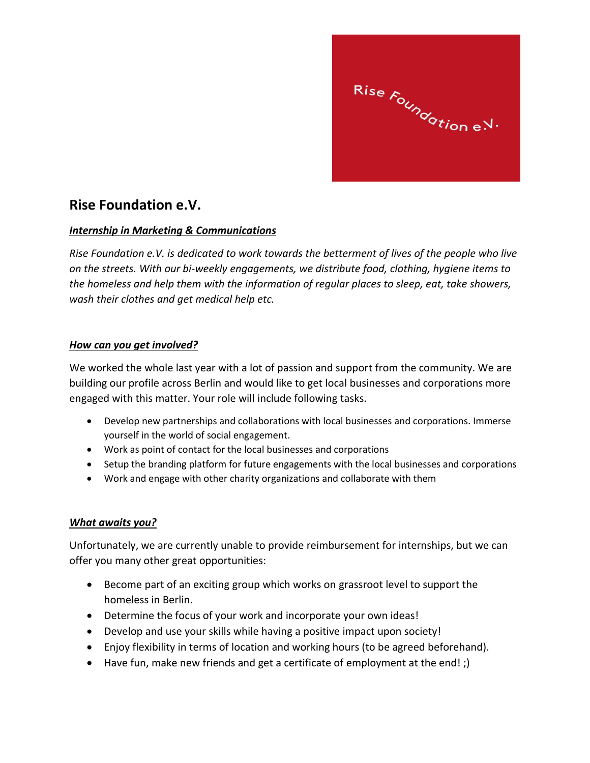Rise 
$$
F_{o_{\mathcal{U}_{n_{\mathcal{O}_{\mathcal{O}_{\mathcal{U}_{\mathcal{O}_{n_{e}}}}}}}}}
$$
.

## **Rise Foundation e.V.**

## *Internship in Marketing & Communications*

*Rise Foundation e.V. is dedicated to work towards the betterment of lives of the people who live on the streets. With our bi-weekly engagements, we distribute food, clothing, hygiene items to the homeless and help them with the information of regular places to sleep, eat, take showers, wash their clothes and get medical help etc.*

## *How can you get involved?*

We worked the whole last year with a lot of passion and support from the community. We are building our profile across Berlin and would like to get local businesses and corporations more engaged with this matter. Your role will include following tasks.

- Develop new partnerships and collaborations with local businesses and corporations. Immerse yourself in the world of social engagement.
- Work as point of contact for the local businesses and corporations
- Setup the branding platform for future engagements with the local businesses and corporations
- Work and engage with other charity organizations and collaborate with them

## *What awaits you?*

Unfortunately, we are currently unable to provide reimbursement for internships, but we can offer you many other great opportunities:

- Become part of an exciting group which works on grassroot level to support the homeless in Berlin.
- Determine the focus of your work and incorporate your own ideas!
- Develop and use your skills while having a positive impact upon society!
- Enjoy flexibility in terms of location and working hours (to be agreed beforehand).
- Have fun, make new friends and get a certificate of employment at the end! ;)